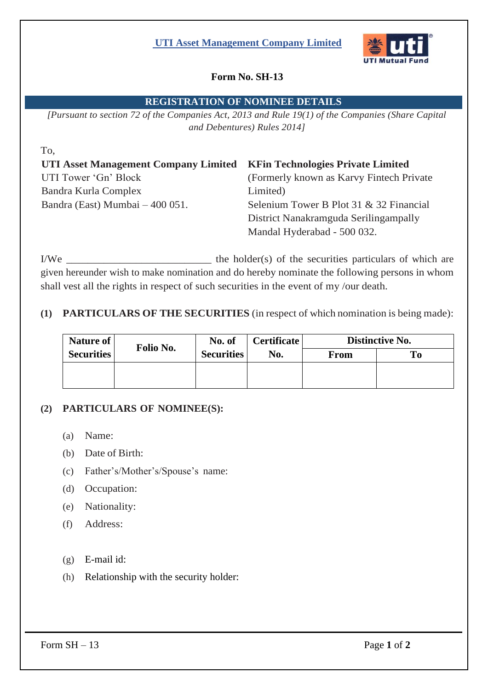## **UTI Asset Management Company Limited**



# **Form No. SH-13**

### **REGISTRATION OF NOMINEE DETAILS**

*[Pursuant to section 72 of the Companies Act, 2013 and Rule 19(1) of the Companies (Share Capital and Debentures) Rules 2014]*

| To.                                  |                                           |  |  |
|--------------------------------------|-------------------------------------------|--|--|
| UTI Asset Management Company Limited | <b>KFin Technologies Private Limited</b>  |  |  |
| UTI Tower 'Gn' Block                 | (Formerly known as Karvy Fintech Private) |  |  |
| Bandra Kurla Complex                 | Limited)                                  |  |  |
| Bandra (East) Mumbai $-400051$ .     | Selenium Tower B Plot 31 & 32 Financial   |  |  |
|                                      | District Nanakramguda Serilingampally     |  |  |
|                                      | Mandal Hyderabad - 500 032.               |  |  |

I/We \_\_\_\_\_\_\_\_\_\_\_\_\_\_\_\_\_\_\_\_\_\_\_\_\_\_\_ the holder(s) of the securities particulars of which are given hereunder wish to make nomination and do hereby nominate the following persons in whom shall vest all the rights in respect of such securities in the event of my /our death.

## **(1) PARTICULARS OF THE SECURITIES** (in respect of which nomination is being made):

| Nature of         | Folio No. | No. of<br><b>Securities</b> | <b>Certificate</b><br>No. | Distinctive No. |    |
|-------------------|-----------|-----------------------------|---------------------------|-----------------|----|
| <b>Securities</b> |           |                             |                           | <b>From</b>     | Tо |
|                   |           |                             |                           |                 |    |
|                   |           |                             |                           |                 |    |

## **(2) PARTICULARS OF NOMINEE(S):**

- (a) Name:
- (b) Date of Birth:
- (c) Father's/Mother's/Spouse's name:
- (d) Occupation:
- (e) Nationality:
- (f) Address:
- (g) E-mail id:
- (h) Relationship with the security holder:

Form  $SH - 13$  Page 1 of 2